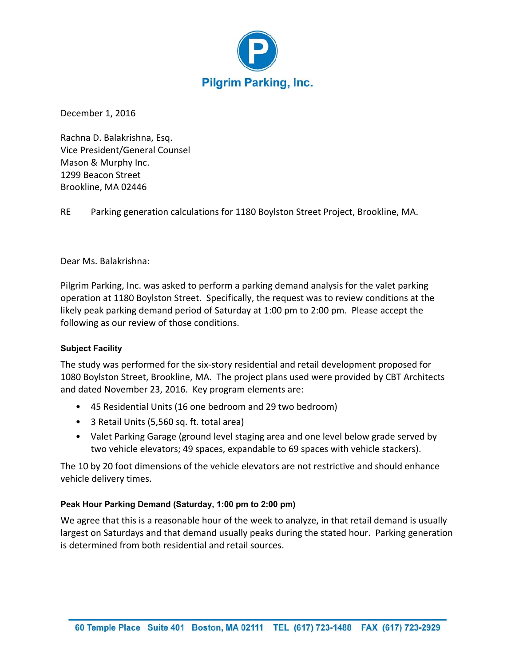

December 1, 2016

Rachna D. Balakrishna, Esq. Vice President/General Counsel Mason & Murphy Inc. 1299 Beacon Street Brookline, MA 02446

RE Parking generation calculations for 1180 Boylston Street Project, Brookline, MA.

Dear Ms. Balakrishna:

Pilgrim Parking, Inc. was asked to perform a parking demand analysis for the valet parking operation at 1180 Boylston Street. Specifically, the request was to review conditions at the likely peak parking demand period of Saturday at 1:00 pm to 2:00 pm. Please accept the following as our review of those conditions.

## **Subject Facility**

The study was performed for the six‐story residential and retail development proposed for 1080 Boylston Street, Brookline, MA. The project plans used were provided by CBT Architects and dated November 23, 2016. Key program elements are:

- 45 Residential Units (16 one bedroom and 29 two bedroom)
- 3 Retail Units (5,560 sq. ft. total area)
- Valet Parking Garage (ground level staging area and one level below grade served by two vehicle elevators; 49 spaces, expandable to 69 spaces with vehicle stackers).

The 10 by 20 foot dimensions of the vehicle elevators are not restrictive and should enhance vehicle delivery times.

## **Peak Hour Parking Demand (Saturday, 1:00 pm to 2:00 pm)**

We agree that this is a reasonable hour of the week to analyze, in that retail demand is usually largest on Saturdays and that demand usually peaks during the stated hour. Parking generation is determined from both residential and retail sources.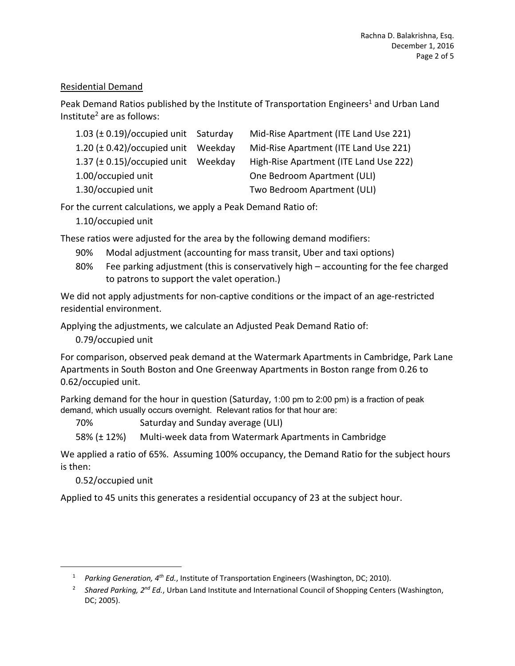# Residential Demand

Peak Demand Ratios published by the Institute of Transportation Engineers<sup>1</sup> and Urban Land Institute<sup>2</sup> are as follows:

| 1.03 $(\pm 0.19)/$ occupied unit Saturday | Mid-Rise Apartment (ITE Land Use 221)  |
|-------------------------------------------|----------------------------------------|
| 1.20 $(\pm 0.42)/$ occupied unit Weekday  | Mid-Rise Apartment (ITE Land Use 221)  |
| 1.37 $(\pm 0.15)/$ occupied unit Weekday  | High-Rise Apartment (ITE Land Use 222) |
| 1.00/occupied unit                        | One Bedroom Apartment (ULI)            |
| 1.30/occupied unit                        | Two Bedroom Apartment (ULI)            |

For the current calculations, we apply a Peak Demand Ratio of:

1.10/occupied unit

These ratios were adjusted for the area by the following demand modifiers:

- 90% Modal adjustment (accounting for mass transit, Uber and taxi options)
- 80% Fee parking adjustment (this is conservatively high accounting for the fee charged to patrons to support the valet operation.)

We did not apply adjustments for non-captive conditions or the impact of an age-restricted residential environment.

Applying the adjustments, we calculate an Adjusted Peak Demand Ratio of:

0.79/occupied unit

For comparison, observed peak demand at the Watermark Apartments in Cambridge, Park Lane Apartments in South Boston and One Greenway Apartments in Boston range from 0.26 to 0.62/occupied unit.

Parking demand for the hour in question (Saturday, 1:00 pm to 2:00 pm) is a fraction of peak demand, which usually occurs overnight. Relevant ratios for that hour are:

70% Saturday and Sunday average (ULI)

58% (± 12%) Multi‐week data from Watermark Apartments in Cambridge

We applied a ratio of 65%. Assuming 100% occupancy, the Demand Ratio for the subject hours is then:

0.52/occupied unit

 $\overline{a}$ 

Applied to 45 units this generates a residential occupancy of 23 at the subject hour.

<sup>&</sup>lt;sup>1</sup> *Parking Generation, 4<sup>th</sup> Ed.*, Institute of Transportation Engineers (Washington, DC; 2010).

<sup>&</sup>lt;sup>2</sup> Shared Parking, 2<sup>nd</sup> Ed., Urban Land Institute and International Council of Shopping Centers (Washington, DC; 2005).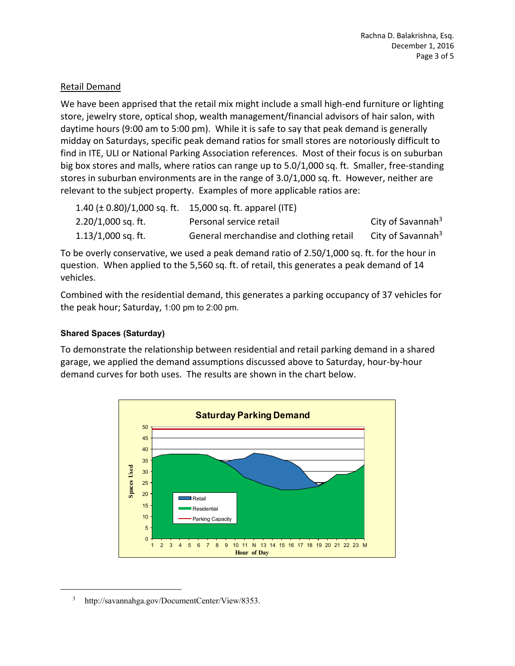# Retail Demand

We have been apprised that the retail mix might include a small high-end furniture or lighting store, jewelry store, optical shop, wealth management/financial advisors of hair salon, with daytime hours (9:00 am to 5:00 pm). While it is safe to say that peak demand is generally midday on Saturdays, specific peak demand ratios for small stores are notoriously difficult to find in ITE, ULI or National Parking Association references. Most of their focus is on suburban big box stores and malls, where ratios can range up to 5.0/1,000 sq. ft. Smaller, free‐standing stores in suburban environments are in the range of 3.0/1,000 sq. ft. However, neither are relevant to the subject property. Examples of more applicable ratios are:

|                      | 1.40 ( $\pm$ 0.80)/1,000 sq. ft. 15,000 sq. ft. apparel (ITE) |                               |
|----------------------|---------------------------------------------------------------|-------------------------------|
| $2.20/1,000$ sq. ft. | Personal service retail                                       | City of Savannah <sup>3</sup> |
| $1.13/1,000$ sq. ft. | General merchandise and clothing retail                       | City of Savannah <sup>3</sup> |

To be overly conservative, we used a peak demand ratio of 2.50/1,000 sq. ft. for the hour in question. When applied to the 5,560 sq. ft. of retail, this generates a peak demand of 14 vehicles.

Combined with the residential demand, this generates a parking occupancy of 37 vehicles for the peak hour; Saturday, 1:00 pm to 2:00 pm.

## **Shared Spaces (Saturday)**

To demonstrate the relationship between residential and retail parking demand in a shared garage, we applied the demand assumptions discussed above to Saturday, hour‐by‐hour demand curves for both uses. The results are shown in the chart below.



 $\frac{1}{3}$ http://savannahga.gov/DocumentCenter/View/8353.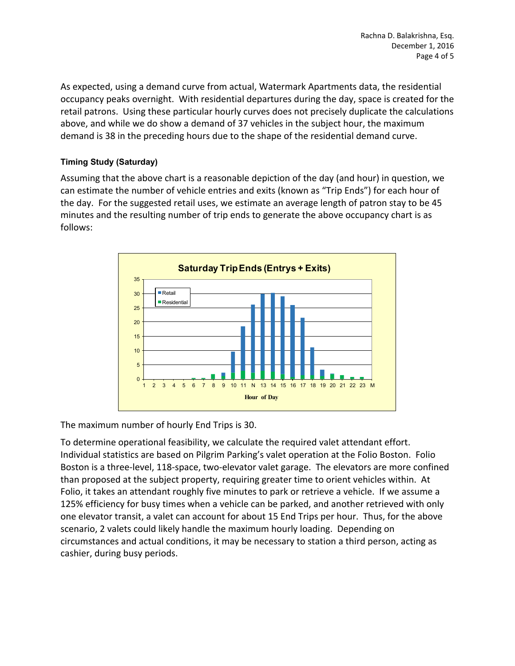As expected, using a demand curve from actual, Watermark Apartments data, the residential occupancy peaks overnight. With residential departures during the day, space is created for the retail patrons. Using these particular hourly curves does not precisely duplicate the calculations above, and while we do show a demand of 37 vehicles in the subject hour, the maximum demand is 38 in the preceding hours due to the shape of the residential demand curve.

# **Timing Study (Saturday)**

Assuming that the above chart is a reasonable depiction of the day (and hour) in question, we can estimate the number of vehicle entries and exits (known as "Trip Ends") for each hour of the day. For the suggested retail uses, we estimate an average length of patron stay to be 45 minutes and the resulting number of trip ends to generate the above occupancy chart is as follows:



The maximum number of hourly End Trips is 30.

To determine operational feasibility, we calculate the required valet attendant effort. Individual statistics are based on Pilgrim Parking's valet operation at the Folio Boston. Folio Boston is a three‐level, 118‐space, two‐elevator valet garage. The elevators are more confined than proposed at the subject property, requiring greater time to orient vehicles within. At Folio, it takes an attendant roughly five minutes to park or retrieve a vehicle. If we assume a 125% efficiency for busy times when a vehicle can be parked, and another retrieved with only one elevator transit, a valet can account for about 15 End Trips per hour. Thus, for the above scenario, 2 valets could likely handle the maximum hourly loading. Depending on circumstances and actual conditions, it may be necessary to station a third person, acting as cashier, during busy periods.